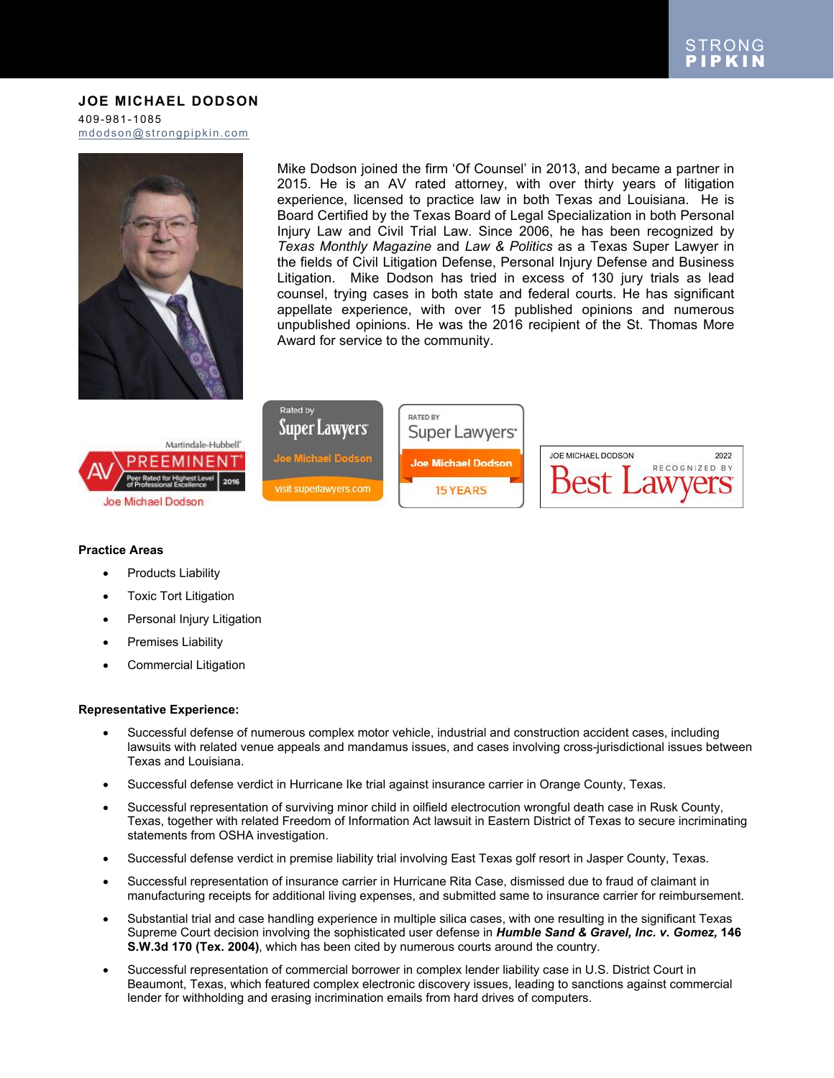# **JOE MICHAEL DODSON**

409-981-1085 [mdodson@strongpipkin.com](mailto:mdodson@strongpipkin.com)



Mike Dodson joined the firm 'Of Counsel' in 2013, and became a partner in 2015. He is an AV rated attorney, with over thirty years of litigation experience, licensed to practice law in both Texas and Louisiana. He is Board Certified by the Texas Board of Legal Specialization in both Personal Injury Law and Civil Trial Law. Since 2006, he has been recognized by *Texas Monthly Magazine* and *Law & Politics* as a Texas Super Lawyer in the fields of Civil Litigation Defense, Personal Injury Defense and Business Litigation. Mike Dodson has tried in excess of 130 jury trials as lead counsel, trying cases in both state and federal courts. He has significant appellate experience, with over 15 published opinions and numerous unpublished opinions. He was the 2016 recipient of the St. Thomas More Award for service to the community.



# **Practice Areas**

• Products Liability

Joe Michael Dodson

- Toxic Tort Litigation
- Personal Injury Litigation

Martindale-Hubbell'

MINEN

- Premises Liability
- Commercial Litigation

#### **Representative Experience:**

- Successful defense of numerous complex motor vehicle, industrial and construction accident cases, including lawsuits with related venue appeals and mandamus issues, and cases involving cross-jurisdictional issues between Texas and Louisiana.
- Successful defense verdict in Hurricane Ike trial against insurance carrier in Orange County, Texas.
- Successful representation of surviving minor child in oilfield electrocution wrongful death case in Rusk County, Texas, together with related Freedom of Information Act lawsuit in Eastern District of Texas to secure incriminating statements from OSHA investigation.
- Successful defense verdict in premise liability trial involving East Texas golf resort in Jasper County, Texas.
- Successful representation of insurance carrier in Hurricane Rita Case, dismissed due to fraud of claimant in manufacturing receipts for additional living expenses, and submitted same to insurance carrier for reimbursement.
- Substantial trial and case handling experience in multiple silica cases, with one resulting in the significant Texas Supreme Court decision involving the sophisticated user defense in *Humble Sand & Gravel, Inc. v. Gomez,* **146 S.W.3d 170 (Tex. 2004)**, which has been cited by numerous courts around the country.
- Successful representation of commercial borrower in complex lender liability case in U.S. District Court in Beaumont, Texas, which featured complex electronic discovery issues, leading to sanctions against commercial lender for withholding and erasing incrimination emails from hard drives of computers.